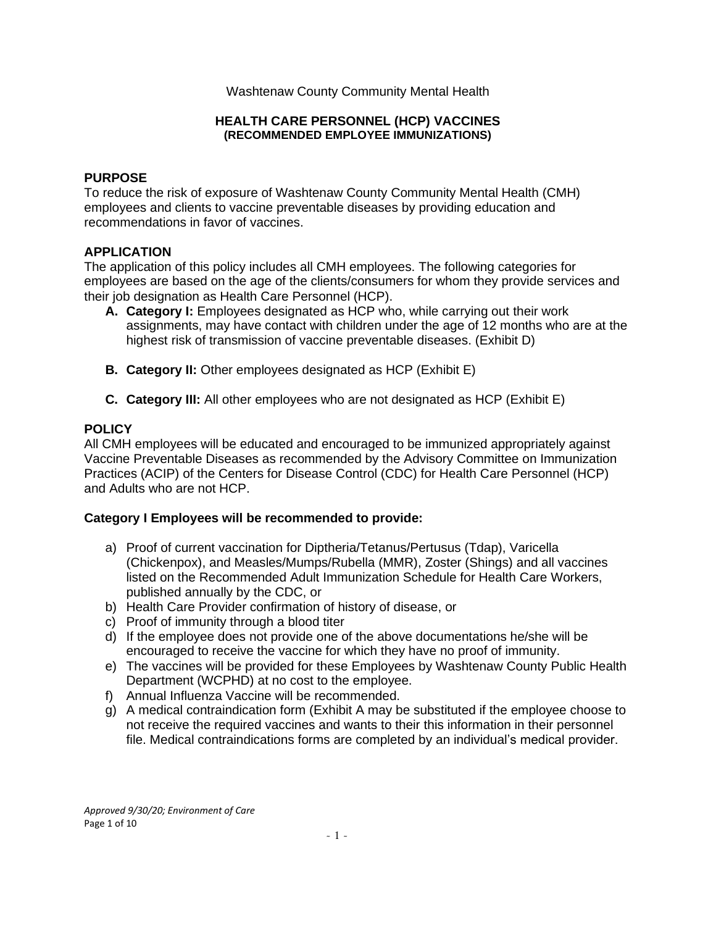## Washtenaw County Community Mental Health

### **HEALTH CARE PERSONNEL (HCP) VACCINES (RECOMMENDED EMPLOYEE IMMUNIZATIONS)**

## **PURPOSE**

To reduce the risk of exposure of Washtenaw County Community Mental Health (CMH) employees and clients to vaccine preventable diseases by providing education and recommendations in favor of vaccines.

# **APPLICATION**

The application of this policy includes all CMH employees. The following categories for employees are based on the age of the clients/consumers for whom they provide services and their job designation as Health Care Personnel (HCP).

- **A. Category I:** Employees designated as HCP who, while carrying out their work assignments, may have contact with children under the age of 12 months who are at the highest risk of transmission of vaccine preventable diseases. (Exhibit D)
- **B.** Category II: Other employees designated as HCP (Exhibit E)
- **C. Category III:** All other employees who are not designated as HCP (Exhibit E)

## **POLICY**

All CMH employees will be educated and encouraged to be immunized appropriately against Vaccine Preventable Diseases as recommended by the Advisory Committee on Immunization Practices (ACIP) of the Centers for Disease Control (CDC) for Health Care Personnel (HCP) and Adults who are not HCP.

### **Category I Employees will be recommended to provide:**

- a) Proof of current vaccination for Diptheria/Tetanus/Pertusus (Tdap), Varicella (Chickenpox), and Measles/Mumps/Rubella (MMR), Zoster (Shings) and all vaccines listed on the Recommended Adult Immunization Schedule for Health Care Workers, published annually by the CDC, or
- b) Health Care Provider confirmation of history of disease, or
- c) Proof of immunity through a blood titer
- d) If the employee does not provide one of the above documentations he/she will be encouraged to receive the vaccine for which they have no proof of immunity.
- e) The vaccines will be provided for these Employees by Washtenaw County Public Health Department (WCPHD) at no cost to the employee.
- f) Annual Influenza Vaccine will be recommended.
- g) A medical contraindication form (Exhibit A may be substituted if the employee choose to not receive the required vaccines and wants to their this information in their personnel file. Medical contraindications forms are completed by an individual's medical provider.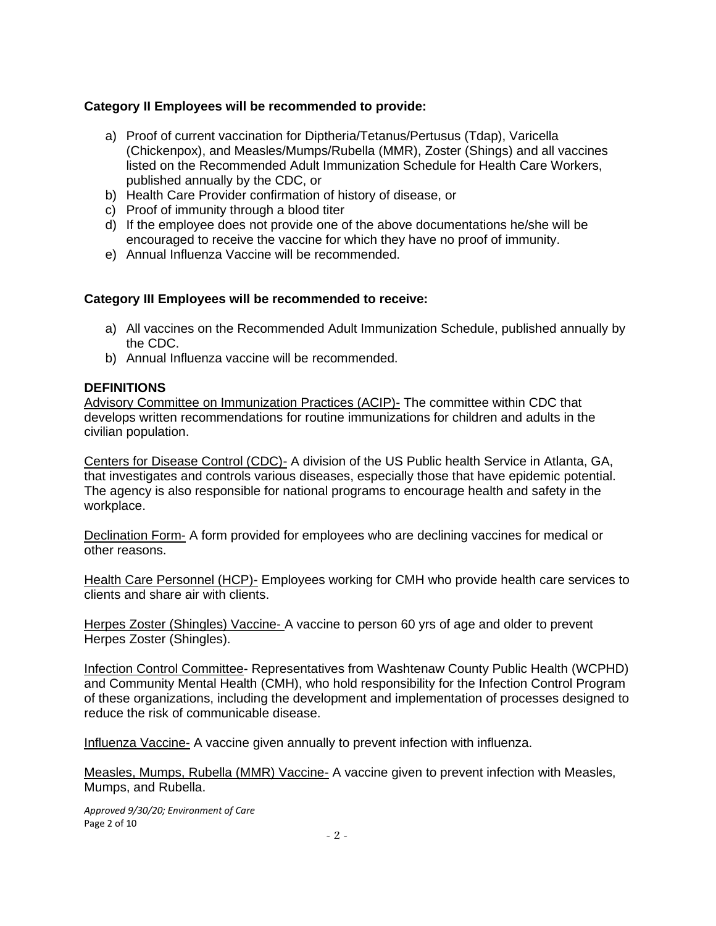# **Category II Employees will be recommended to provide:**

- a) Proof of current vaccination for Diptheria/Tetanus/Pertusus (Tdap), Varicella (Chickenpox), and Measles/Mumps/Rubella (MMR), Zoster (Shings) and all vaccines listed on the Recommended Adult Immunization Schedule for Health Care Workers, published annually by the CDC, or
- b) Health Care Provider confirmation of history of disease, or
- c) Proof of immunity through a blood titer
- d) If the employee does not provide one of the above documentations he/she will be encouraged to receive the vaccine for which they have no proof of immunity.
- e) Annual Influenza Vaccine will be recommended.

# **Category III Employees will be recommended to receive:**

- a) All vaccines on the Recommended Adult Immunization Schedule, published annually by the CDC.
- b) Annual Influenza vaccine will be recommended.

# **DEFINITIONS**

Advisory Committee on Immunization Practices (ACIP)- The committee within CDC that develops written recommendations for routine immunizations for children and adults in the civilian population.

Centers for Disease Control (CDC)- A division of the US Public health Service in Atlanta, GA, that investigates and controls various diseases, especially those that have epidemic potential. The agency is also responsible for national programs to encourage health and safety in the workplace.

Declination Form- A form provided for employees who are declining vaccines for medical or other reasons.

Health Care Personnel (HCP)- Employees working for CMH who provide health care services to clients and share air with clients.

Herpes Zoster (Shingles) Vaccine- A vaccine to person 60 yrs of age and older to prevent Herpes Zoster (Shingles).

Infection Control Committee- Representatives from Washtenaw County Public Health (WCPHD) and Community Mental Health (CMH), who hold responsibility for the Infection Control Program of these organizations, including the development and implementation of processes designed to reduce the risk of communicable disease.

Influenza Vaccine- A vaccine given annually to prevent infection with influenza.

Measles, Mumps, Rubella (MMR) Vaccine- A vaccine given to prevent infection with Measles, Mumps, and Rubella.

*Approved 9/30/20; Environment of Care* Page 2 of 10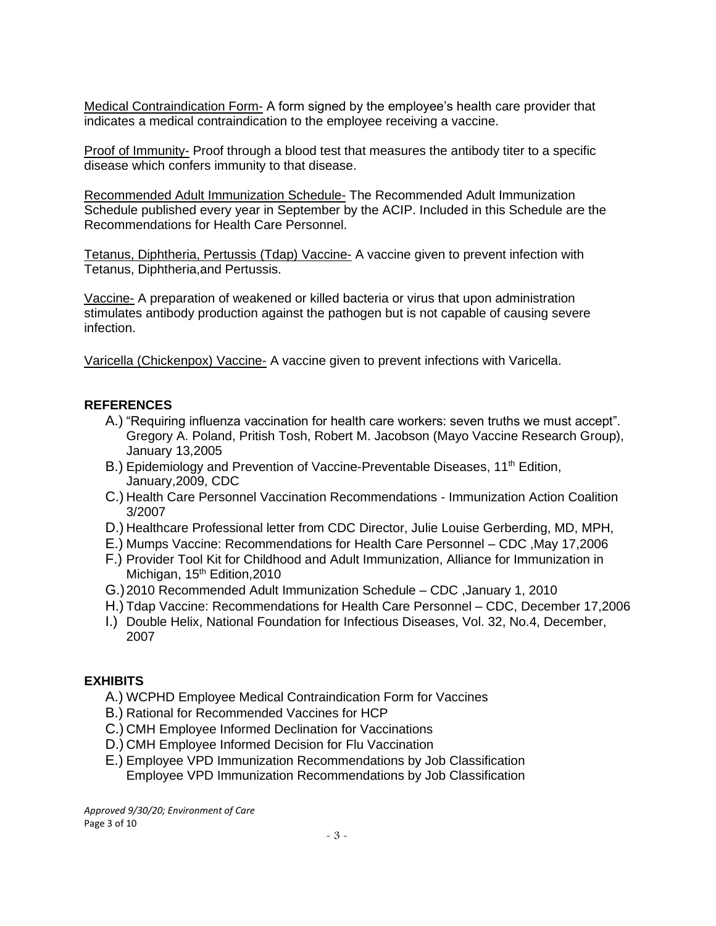Medical Contraindication Form- A form signed by the employee's health care provider that indicates a medical contraindication to the employee receiving a vaccine.

Proof of Immunity- Proof through a blood test that measures the antibody titer to a specific disease which confers immunity to that disease.

Recommended Adult Immunization Schedule- The Recommended Adult Immunization Schedule published every year in September by the ACIP. Included in this Schedule are the Recommendations for Health Care Personnel.

Tetanus, Diphtheria, Pertussis (Tdap) Vaccine- A vaccine given to prevent infection with Tetanus, Diphtheria,and Pertussis.

Vaccine- A preparation of weakened or killed bacteria or virus that upon administration stimulates antibody production against the pathogen but is not capable of causing severe infection.

Varicella (Chickenpox) Vaccine- A vaccine given to prevent infections with Varicella.

# **REFERENCES**

- A.) "Requiring influenza vaccination for health care workers: seven truths we must accept". Gregory A. Poland, Pritish Tosh, Robert M. Jacobson (Mayo Vaccine Research Group), January 13,2005
- B.) Epidemiology and Prevention of Vaccine-Preventable Diseases, 11<sup>th</sup> Edition, January,2009, CDC
- C.) Health Care Personnel Vaccination Recommendations Immunization Action Coalition 3/2007
- D.) Healthcare Professional letter from CDC Director, Julie Louise Gerberding, MD, MPH,
- E.) Mumps Vaccine: Recommendations for Health Care Personnel CDC ,May 17,2006
- F.) Provider Tool Kit for Childhood and Adult Immunization, Alliance for Immunization in Michigan, 15<sup>th</sup> Edition, 2010
- G.)2010 Recommended Adult Immunization Schedule CDC ,January 1, 2010
- H.) Tdap Vaccine: Recommendations for Health Care Personnel CDC, December 17,2006
- I.) Double Helix, National Foundation for Infectious Diseases, Vol. 32, No.4, December, 2007

# **EXHIBITS**

- A.) WCPHD Employee Medical Contraindication Form for Vaccines
- B.) Rational for Recommended Vaccines for HCP
- C.) CMH Employee Informed Declination for Vaccinations
- D.) CMH Employee Informed Decision for Flu Vaccination
- E.) Employee VPD Immunization Recommendations by Job Classification Employee VPD Immunization Recommendations by Job Classification

*Approved 9/30/20; Environment of Care* Page 3 of 10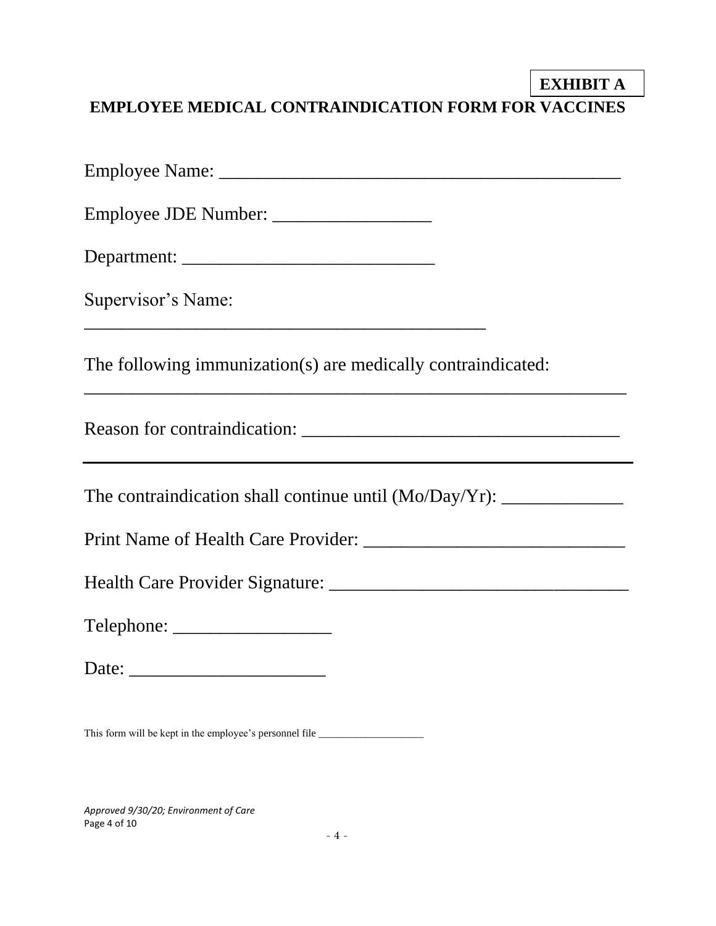# **EXHIBIT A EXHIBIT AEMPLOYEE MEDICAL CONTRAINDICATION FORM FOR VACCINES**

| Supervisor's Name:                                                               |
|----------------------------------------------------------------------------------|
| The following immunization(s) are medically contraindicated:                     |
| ,我们也不会有什么。""我们的人,我们也不会有什么?""我们的人,我们也不会有什么?""我们的人,我们也不会有什么?""我们的人,我们也不会有什么?""我们的人 |
|                                                                                  |
|                                                                                  |
|                                                                                  |
| Telephone:                                                                       |
|                                                                                  |
|                                                                                  |

This form will be kept in the employee's personnel file \_\_\_\_\_\_\_\_\_\_\_\_\_\_\_\_\_\_\_\_\_\_\_\_\_

*Approved 9/30/20; Environment of Care* Page 4 of 10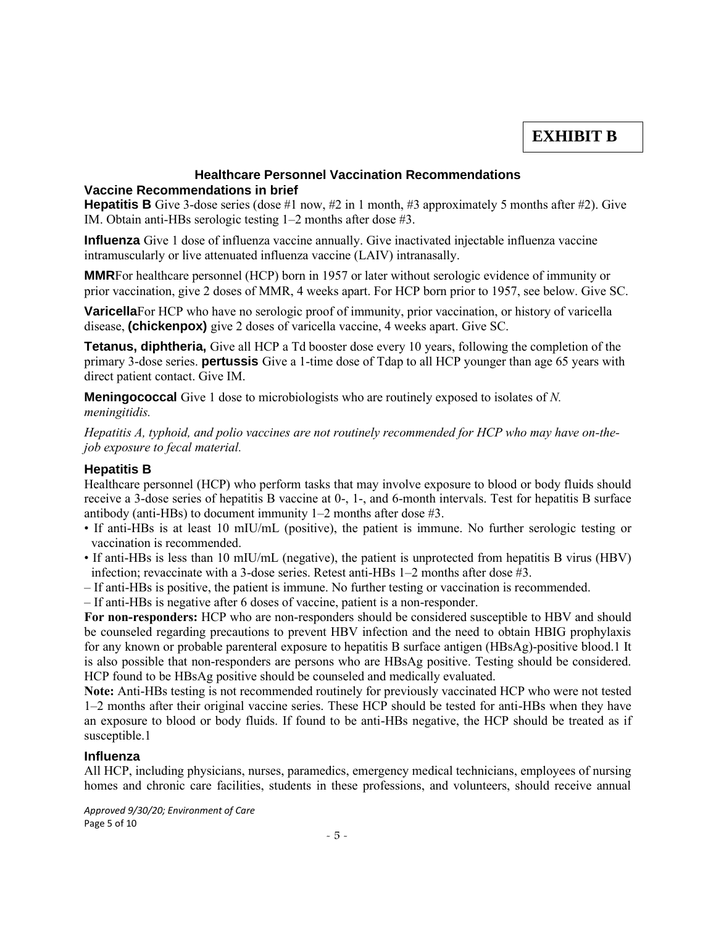# **EXHIBIT B EXHIBIT B**

#### **Healthcare Personnel Vaccination Recommendations Vaccine Recommendations in brief**

**Hepatitis B** Give 3-dose series (dose #1 now, #2 in 1 month, #3 approximately 5 months after #2). Give IM. Obtain anti-HBs serologic testing 1–2 months after dose #3.

**Influenza** Give 1 dose of influenza vaccine annually. Give inactivated injectable influenza vaccine intramuscularly or live attenuated influenza vaccine (LAIV) intranasally.

**MMR**For healthcare personnel (HCP) born in 1957 or later without serologic evidence of immunity or prior vaccination, give 2 doses of MMR, 4 weeks apart. For HCP born prior to 1957, see below. Give SC.

**Varicella**For HCP who have no serologic proof of immunity, prior vaccination, or history of varicella disease, **(chickenpox)** give 2 doses of varicella vaccine, 4 weeks apart. Give SC.

**Tetanus, diphtheria,** Give all HCP a Td booster dose every 10 years, following the completion of the primary 3-dose series. **pertussis** Give a 1-time dose of Tdap to all HCP younger than age 65 years with direct patient contact. Give IM.

**Meningococcal** Give 1 dose to microbiologists who are routinely exposed to isolates of *N. meningitidis.* 

*Hepatitis A, typhoid, and polio vaccines are not routinely recommended for HCP who may have on-thejob exposure to fecal material.*

## **Hepatitis B**

Healthcare personnel (HCP) who perform tasks that may involve exposure to blood or body fluids should receive a 3-dose series of hepatitis B vaccine at 0-, 1-, and 6-month intervals. Test for hepatitis B surface antibody (anti-HBs) to document immunity 1–2 months after dose #3.

- If anti-HBs is at least 10 mIU/mL (positive), the patient is immune. No further serologic testing or vaccination is recommended.
- If anti-HBs is less than 10 mIU/mL (negative), the patient is unprotected from hepatitis B virus (HBV) infection; revaccinate with a 3-dose series. Retest anti-HBs 1–2 months after dose #3.
- If anti-HBs is positive, the patient is immune. No further testing or vaccination is recommended.
- If anti-HBs is negative after 6 doses of vaccine, patient is a non-responder.

**For non-responders:** HCP who are non-responders should be considered susceptible to HBV and should be counseled regarding precautions to prevent HBV infection and the need to obtain HBIG prophylaxis for any known or probable parenteral exposure to hepatitis B surface antigen (HBsAg)-positive blood.1 It is also possible that non-responders are persons who are HBsAg positive. Testing should be considered. HCP found to be HBsAg positive should be counseled and medically evaluated.

**Note:** Anti-HBs testing is not recommended routinely for previously vaccinated HCP who were not tested 1–2 months after their original vaccine series. These HCP should be tested for anti-HBs when they have an exposure to blood or body fluids. If found to be anti-HBs negative, the HCP should be treated as if susceptible.1

### **Influenza**

All HCP, including physicians, nurses, paramedics, emergency medical technicians, employees of nursing homes and chronic care facilities, students in these professions, and volunteers, should receive annual

*Approved 9/30/20; Environment of Care* Page 5 of 10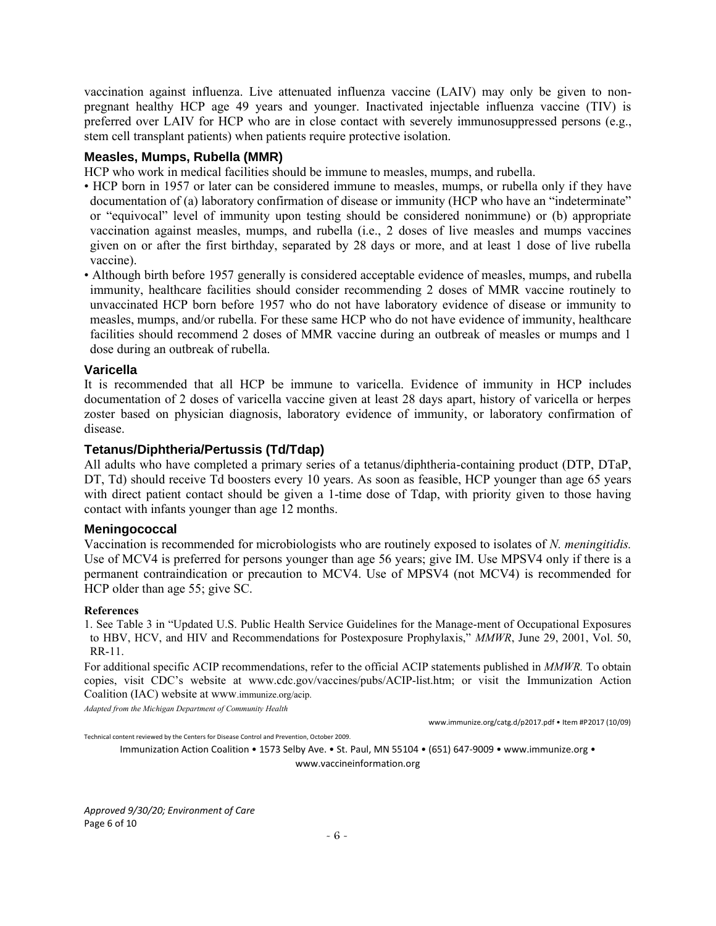vaccination against influenza. Live attenuated influenza vaccine (LAIV) may only be given to nonpregnant healthy HCP age 49 years and younger. Inactivated injectable influenza vaccine (TIV) is preferred over LAIV for HCP who are in close contact with severely immunosuppressed persons (e.g., stem cell transplant patients) when patients require protective isolation.

#### **Measles, Mumps, Rubella (MMR)**

HCP who work in medical facilities should be immune to measles, mumps, and rubella.

- HCP born in 1957 or later can be considered immune to measles, mumps, or rubella only if they have documentation of (a) laboratory confirmation of disease or immunity (HCP who have an "indeterminate" or "equivocal" level of immunity upon testing should be considered nonimmune) or (b) appropriate vaccination against measles, mumps, and rubella (i.e., 2 doses of live measles and mumps vaccines given on or after the first birthday, separated by 28 days or more, and at least 1 dose of live rubella vaccine).
- Although birth before 1957 generally is considered acceptable evidence of measles, mumps, and rubella immunity, healthcare facilities should consider recommending 2 doses of MMR vaccine routinely to unvaccinated HCP born before 1957 who do not have laboratory evidence of disease or immunity to measles, mumps, and/or rubella. For these same HCP who do not have evidence of immunity, healthcare facilities should recommend 2 doses of MMR vaccine during an outbreak of measles or mumps and 1 dose during an outbreak of rubella.

#### **Varicella**

It is recommended that all HCP be immune to varicella. Evidence of immunity in HCP includes documentation of 2 doses of varicella vaccine given at least 28 days apart, history of varicella or herpes zoster based on physician diagnosis, laboratory evidence of immunity, or laboratory confirmation of disease.

#### **Tetanus/Diphtheria/Pertussis (Td/Tdap)**

All adults who have completed a primary series of a tetanus/diphtheria-containing product (DTP, DTaP, DT, Td) should receive Td boosters every 10 years. As soon as feasible, HCP younger than age 65 years with direct patient contact should be given a 1-time dose of Tdap, with priority given to those having contact with infants younger than age 12 months.

#### **Meningococcal**

Vaccination is recommended for microbiologists who are routinely exposed to isolates of *N. meningitidis.*  Use of MCV4 is preferred for persons younger than age 56 years; give IM. Use MPSV4 only if there is a permanent contraindication or precaution to MCV4. Use of MPSV4 (not MCV4) is recommended for HCP older than age 55; give SC.

#### **References**

1. See Table 3 in "Updated U.S. Public Health Service Guidelines for the Manage-ment of Occupational Exposures to HBV, HCV, and HIV and Recommendations for Postexposure Prophylaxis," *MMWR*, June 29, 2001, Vol. 50, RR-11.

For additional specific ACIP recommendations, refer to the official ACIP statements published in *MMWR.* To obtain copies, visit CDC's website at www.cdc.gov/vaccines/pubs/ACIP-list.htm; or visit the Immunization Action Coalition (IAC) website at www.immunize.org/acip.

*Adapted from the Michigan Department of Community Health*

www.immunize.org/catg.d/p2017.pdf • Item #P2017 (10/09)

Technical content reviewed by the Centers for Disease Control and Prevention, October 2009.

Immunization Action Coalition • 1573 Selby Ave. • St. Paul, MN 55104 • (651) 647-9009 • www.immunize.org • www.vaccineinformation.org

*Approved 9/30/20; Environment of Care* Page 6 of 10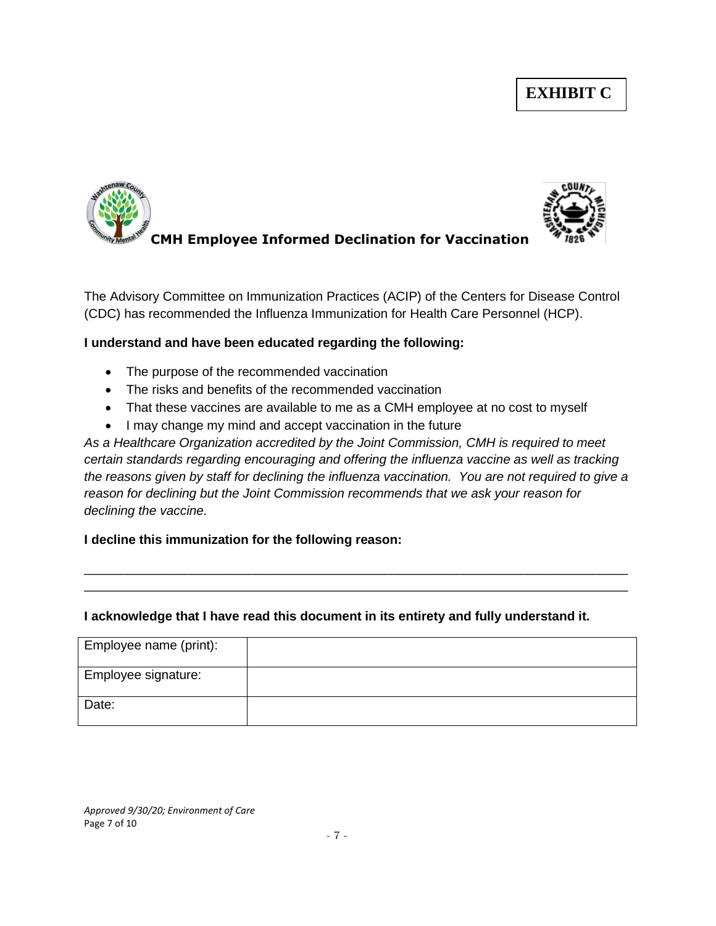# **EXHIBIT C**



The Advisory Committee on Immunization Practices (ACIP) of the Centers for Disease Control (CDC) has recommended the Influenza Immunization for Health Care Personnel (HCP).

# **I understand and have been educated regarding the following:**

- The purpose of the recommended vaccination
- The risks and benefits of the recommended vaccination
- That these vaccines are available to me as a CMH employee at no cost to myself
- I may change my mind and accept vaccination in the future

*As a Healthcare Organization accredited by the Joint Commission, CMH is required to meet certain standards regarding encouraging and offering the influenza vaccine as well as tracking the reasons given by staff for declining the influenza vaccination. You are not required to give a reason for declining but the Joint Commission recommends that we ask your reason for declining the vaccine.*

\_\_\_\_\_\_\_\_\_\_\_\_\_\_\_\_\_\_\_\_\_\_\_\_\_\_\_\_\_\_\_\_\_\_\_\_\_\_\_\_\_\_\_\_\_\_\_\_\_\_\_\_\_\_\_\_\_\_\_\_\_\_\_\_\_\_\_\_\_\_\_\_\_\_\_\_ \_\_\_\_\_\_\_\_\_\_\_\_\_\_\_\_\_\_\_\_\_\_\_\_\_\_\_\_\_\_\_\_\_\_\_\_\_\_\_\_\_\_\_\_\_\_\_\_\_\_\_\_\_\_\_\_\_\_\_\_\_\_\_\_\_\_\_\_\_\_\_\_\_\_\_\_

# **I decline this immunization for the following reason:**

# **I acknowledge that I have read this document in its entirety and fully understand it.**

| Employee name (print): |  |
|------------------------|--|
| Employee signature:    |  |
| Date:                  |  |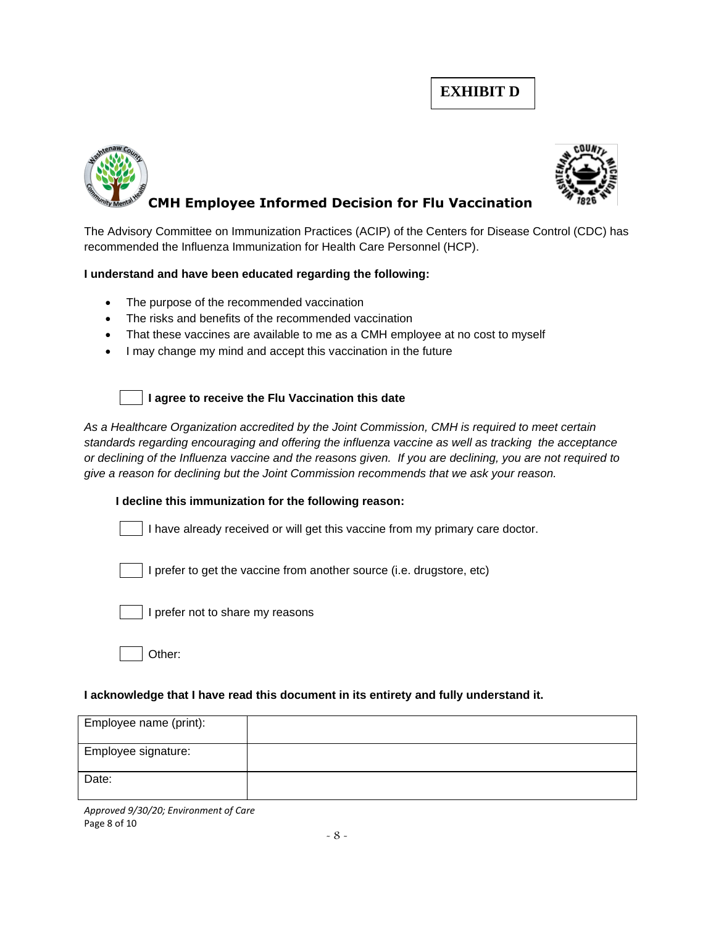# **EXHIBIT D**





The Advisory Committee on Immunization Practices (ACIP) of the Centers for Disease Control (CDC) has recommended the Influenza Immunization for Health Care Personnel (HCP).

## **I understand and have been educated regarding the following:**

- The purpose of the recommended vaccination
- The risks and benefits of the recommended vaccination
- That these vaccines are available to me as a CMH employee at no cost to myself
- I may change my mind and accept this vaccination in the future



### **I agree to receive the Flu Vaccination this date**

*As a Healthcare Organization accredited by the Joint Commission, CMH is required to meet certain standards regarding encouraging and offering the influenza vaccine as well as tracking the acceptance or declining of the Influenza vaccine and the reasons given. If you are declining, you are not required to give a reason for declining but the Joint Commission recommends that we ask your reason.*

### **I decline this immunization for the following reason:**

I have already received or will get this vaccine from my primary care doctor.

I prefer to get the vaccine from another source (i.e. drugstore, etc)



I prefer not to share my reasons

Other:

### **I acknowledge that I have read this document in its entirety and fully understand it.**

| Employee name (print): |  |
|------------------------|--|
| Employee signature:    |  |
| Date:                  |  |

*Approved 9/30/20; Environment of Care* Page 8 of 10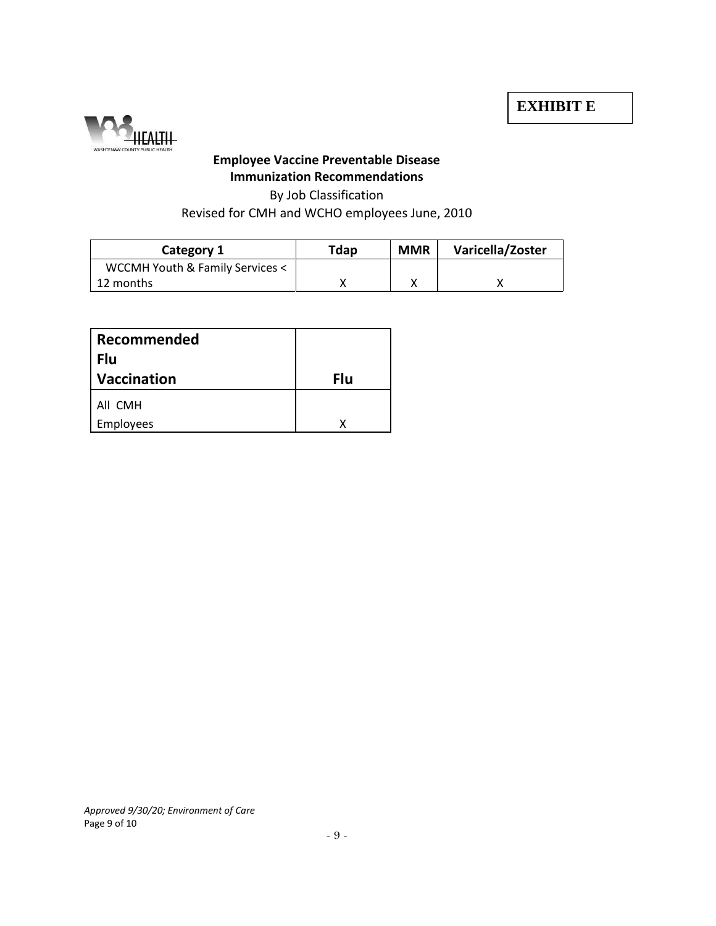

# **Employee Vaccine Preventable Disease Immunization Recommendations**

# By Job Classification Revised for CMH and WCHO employees June, 2010

| Category 1                      | Tdap | <b>MMR</b> | Varicella/Zoster |
|---------------------------------|------|------------|------------------|
| WCCMH Youth & Family Services < |      |            |                  |
| 12 months                       |      |            |                  |

| Recommended<br>Flu |     |
|--------------------|-----|
| <b>Vaccination</b> | Flu |
| All CMH            |     |
| <b>Employees</b>   |     |